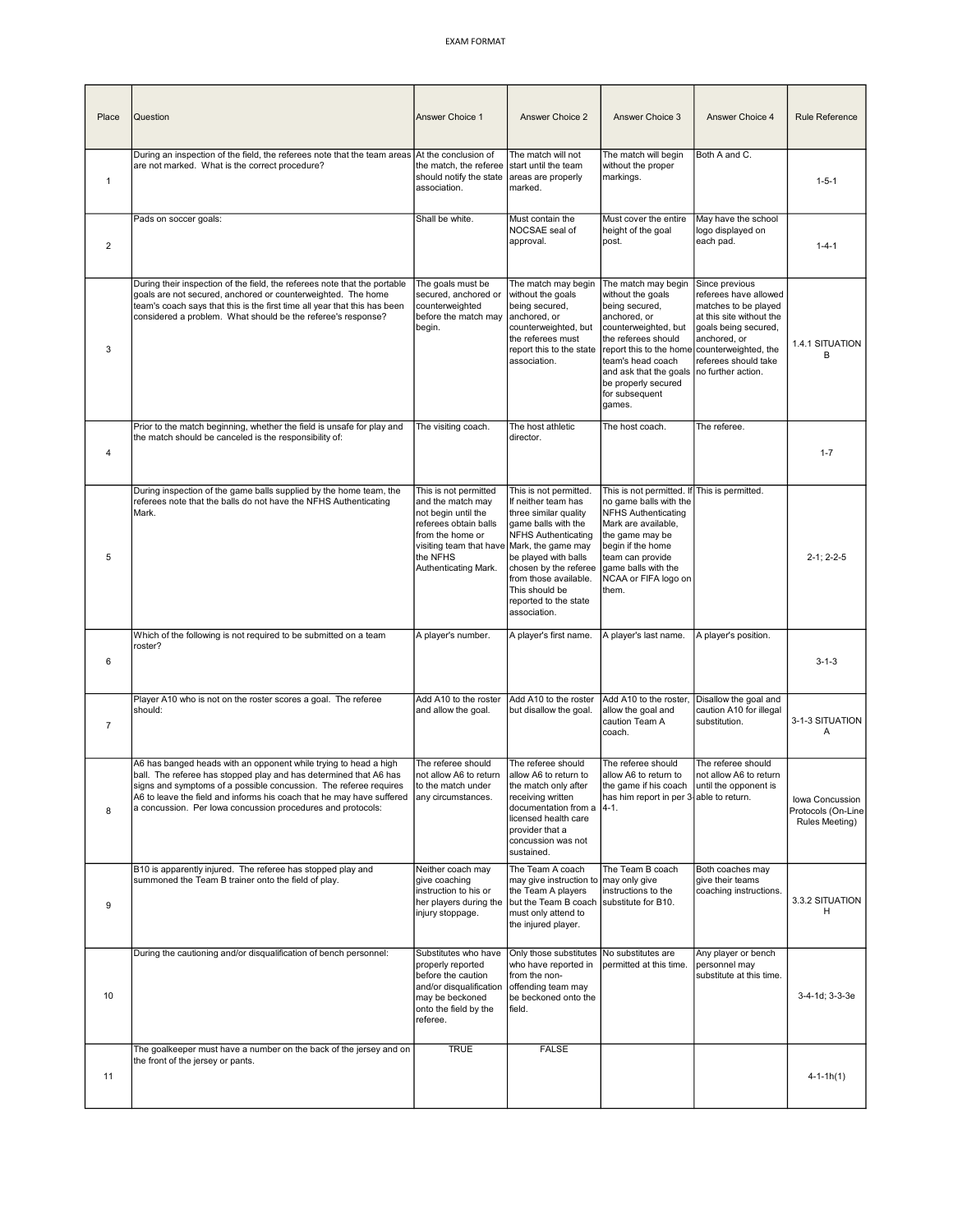| Place          | Question                                                                                                                                                                                                                                                                                                                                           | Answer Choice 1                                                                                                                                                               | Answer Choice 2                                                                                                                                                                                                                                                                        | Answer Choice 3                                                                                                                                                                                                                                                                                  | Answer Choice 4                                                                                                                                             | Rule Reference                                          |
|----------------|----------------------------------------------------------------------------------------------------------------------------------------------------------------------------------------------------------------------------------------------------------------------------------------------------------------------------------------------------|-------------------------------------------------------------------------------------------------------------------------------------------------------------------------------|----------------------------------------------------------------------------------------------------------------------------------------------------------------------------------------------------------------------------------------------------------------------------------------|--------------------------------------------------------------------------------------------------------------------------------------------------------------------------------------------------------------------------------------------------------------------------------------------------|-------------------------------------------------------------------------------------------------------------------------------------------------------------|---------------------------------------------------------|
| $\mathbf{1}$   | During an inspection of the field, the referees note that the team areas At the conclusion of<br>are not marked. What is the correct procedure?                                                                                                                                                                                                    | the match, the referee<br>should notify the state<br>association.                                                                                                             | The match will not<br>start until the team<br>areas are properly<br>marked.                                                                                                                                                                                                            | The match will begin<br>without the proper<br>markings.                                                                                                                                                                                                                                          | Both A and C.                                                                                                                                               | $1 - 5 - 1$                                             |
| $\overline{2}$ | Pads on soccer goals:                                                                                                                                                                                                                                                                                                                              | Shall be white.                                                                                                                                                               | Must contain the<br>NOCSAE seal of<br>approval.                                                                                                                                                                                                                                        | Must cover the entire<br>height of the goal<br>post.                                                                                                                                                                                                                                             | May have the school<br>logo displayed on<br>each pad.                                                                                                       | $1 - 4 - 1$                                             |
| 3              | During their inspection of the field, the referees note that the portable<br>goals are not secured, anchored or counterweighted. The home<br>team's coach says that this is the first time all year that this has been<br>considered a problem. What should be the referee's response?                                                             | The goals must be<br>secured, anchored or<br>counterweighted<br>before the match may<br>begin.                                                                                | The match may begin<br>without the goals<br>being secured,<br>anchored, or<br>counterweighted, but<br>the referees must<br>report this to the state<br>association.                                                                                                                    | The match may begin<br>without the goals<br>being secured,<br>anchored, or<br>counterweighted, but<br>the referees should<br>report this to the home counterweighted, the<br>team's head coach<br>and ask that the goals   no further action.<br>be properly secured<br>for subsequent<br>games. | Since previous<br>referees have allowed<br>matches to be played<br>at this site without the<br>goals being secured,<br>anchored, or<br>referees should take | 1.4.1 SITUATION<br>в                                    |
| 4              | Prior to the match beginning, whether the field is unsafe for play and<br>the match should be canceled is the responsibility of:                                                                                                                                                                                                                   | The visiting coach.                                                                                                                                                           | The host athletic<br>director.                                                                                                                                                                                                                                                         | The host coach.                                                                                                                                                                                                                                                                                  | The referee.                                                                                                                                                | $1 - 7$                                                 |
| 5              | During inspection of the game balls supplied by the home team, the<br>referees note that the balls do not have the NFHS Authenticating<br>Mark.                                                                                                                                                                                                    | This is not permitted<br>and the match may<br>not begin until the<br>referees obtain balls<br>from the home or<br>visiting team that have<br>the NFHS<br>Authenticating Mark. | This is not permitted.<br>If neither team has<br>three similar quality<br>game balls with the<br><b>NFHS Authenticating</b><br>Mark, the game may<br>be played with balls<br>chosen by the referee<br>from those available.<br>This should be<br>reported to the state<br>association. | This is not permitted. If This is permitted.<br>no game balls with the<br>NFHS Authenticating<br>Mark are available,<br>the game may be<br>begin if the home<br>team can provide<br>game balls with the<br>NCAA or FIFA logo on<br>them.                                                         |                                                                                                                                                             | $2 - 1: 2 - 2 - 5$                                      |
| 6              | Which of the following is not required to be submitted on a team<br>roster?                                                                                                                                                                                                                                                                        | A player's number.                                                                                                                                                            | A player's first name.                                                                                                                                                                                                                                                                 | A player's last name.                                                                                                                                                                                                                                                                            | A player's position.                                                                                                                                        | $3 - 1 - 3$                                             |
| $\overline{7}$ | Player A10 who is not on the roster scores a goal. The referee<br>should:                                                                                                                                                                                                                                                                          | Add A10 to the roster<br>and allow the goal.                                                                                                                                  | Add A10 to the roster<br>but disallow the goal.                                                                                                                                                                                                                                        | Add A10 to the roster,<br>allow the goal and<br>caution Team A<br>coach.                                                                                                                                                                                                                         | Disallow the goal and<br>caution A10 for illegal<br>substitution.                                                                                           | 3-1-3 SITUATION<br>Α                                    |
| 8              | A6 has banged heads with an opponent while trying to head a high<br>ball. The referee has stopped play and has determined that A6 has<br>signs and symptoms of a possible concussion. The referee requires<br>A6 to leave the field and informs his coach that he may have suffered<br>a concussion. Per lowa concussion procedures and protocols: | The referee should<br>not allow A6 to return<br>to the match under<br>any circumstances.                                                                                      | The referee should<br>lallow A6 to return to<br>the match only after<br>receiving written<br>documentation from a<br>licensed health care<br>provider that a<br>concussion was not<br>sustained.                                                                                       | The referee should<br>allow A6 to return to<br>the game if his coach until the opponent is<br>has him report in per 3-able to return.<br>$ 4-1.$                                                                                                                                                 | The referee should<br>not allow A6 to return                                                                                                                | Iowa Concussion<br>Protocols (On-Line<br>Rules Meeting) |
| 9              | B10 is apparently injured. The referee has stopped play and<br>summoned the Team B trainer onto the field of play.                                                                                                                                                                                                                                 | Neither coach may<br>give coaching<br>instruction to his or<br>her players during the<br>injury stoppage.                                                                     | The Team A coach<br>may give instruction to   may only give<br>the Team A players<br>but the Team B coach<br>must only attend to<br>the injured player.                                                                                                                                | The Team B coach<br>instructions to the<br>substitute for B10.                                                                                                                                                                                                                                   | Both coaches may<br>give their teams<br>coaching instructions.                                                                                              | 3.3.2 SITUATION<br>н                                    |
| 10             | During the cautioning and/or disqualification of bench personnel:                                                                                                                                                                                                                                                                                  | Substitutes who have<br>properly reported<br>before the caution<br>and/or disqualification<br>may be beckoned<br>onto the field by the<br>referee.                            | Only those substitutes<br>who have reported in<br>from the non-<br>offending team may<br>be beckoned onto the<br>field.                                                                                                                                                                | No substitutes are<br>permitted at this time.                                                                                                                                                                                                                                                    | Any player or bench<br>personnel may<br>substitute at this time.                                                                                            | 3-4-1d; 3-3-3e                                          |
| 11             | The goalkeeper must have a number on the back of the jersey and on<br>the front of the jersey or pants.                                                                                                                                                                                                                                            | <b>TRUE</b>                                                                                                                                                                   | <b>FALSE</b>                                                                                                                                                                                                                                                                           |                                                                                                                                                                                                                                                                                                  |                                                                                                                                                             | $4 - 1 - 1h(1)$                                         |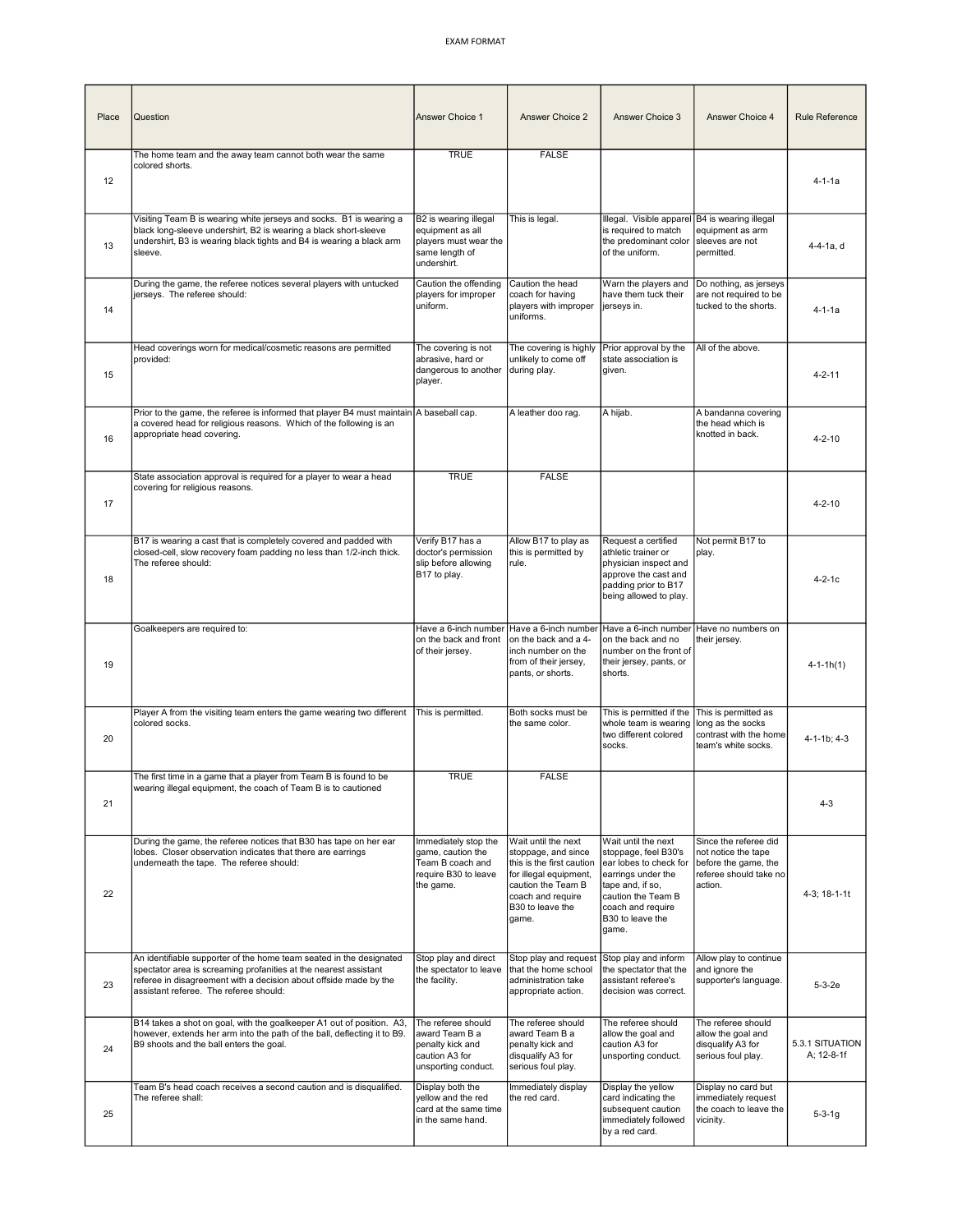| Place | Question                                                                                                                                                                                                                                               | Answer Choice 1                                                                                     | Answer Choice 2                                                                                                                                                           | Answer Choice 3                                                                                                                                                                         | Answer Choice 4                                                                                           | Rule Reference                |
|-------|--------------------------------------------------------------------------------------------------------------------------------------------------------------------------------------------------------------------------------------------------------|-----------------------------------------------------------------------------------------------------|---------------------------------------------------------------------------------------------------------------------------------------------------------------------------|-----------------------------------------------------------------------------------------------------------------------------------------------------------------------------------------|-----------------------------------------------------------------------------------------------------------|-------------------------------|
| 12    | The home team and the away team cannot both wear the same<br>colored shorts.                                                                                                                                                                           | <b>TRUE</b>                                                                                         | <b>FALSE</b>                                                                                                                                                              |                                                                                                                                                                                         |                                                                                                           | $4 - 1 - 1a$                  |
| 13    | Visiting Team B is wearing white jerseys and socks. B1 is wearing a<br>black long-sleeve undershirt, B2 is wearing a black short-sleeve<br>undershirt, B3 is wearing black tights and B4 is wearing a black arm<br>sleeve.                             | B2 is wearing illegal<br>equipment as all<br>players must wear the<br>same length of<br>undershirt. | This is legal.                                                                                                                                                            | Illegal. Visible apparel<br>is required to match<br>the predominant color<br>of the uniform.                                                                                            | B4 is wearing illegal<br>equipment as arm<br>sleeves are not<br>permitted.                                | 4-4-1a, d                     |
| 14    | During the game, the referee notices several players with untucked<br>jerseys. The referee should:                                                                                                                                                     | Caution the offending<br>players for improper<br>uniform.                                           | Caution the head<br>coach for having<br>players with improper<br>uniforms.                                                                                                | Warn the players and<br>have them tuck their<br>jerseys in.                                                                                                                             | Do nothing, as jerseys<br>are not required to be<br>tucked to the shorts.                                 | 4-1-1a                        |
| 15    | Head coverings worn for medical/cosmetic reasons are permitted<br>provided:                                                                                                                                                                            | The covering is not<br>abrasive, hard or<br>dangerous to another<br>player.                         | The covering is highly<br>unlikely to come off<br>during play.                                                                                                            | Prior approval by the<br>state association is<br>given.                                                                                                                                 | All of the above.                                                                                         | $4 - 2 - 11$                  |
| 16    | Prior to the game, the referee is informed that player B4 must maintain A baseball cap.<br>a covered head for religious reasons. Which of the following is an<br>appropriate head covering.                                                            |                                                                                                     | A leather doo rag.                                                                                                                                                        | A hijab.                                                                                                                                                                                | A bandanna covering<br>the head which is<br>knotted in back.                                              | $4 - 2 - 10$                  |
| 17    | State association approval is required for a player to wear a head<br>covering for religious reasons.                                                                                                                                                  | <b>TRUE</b>                                                                                         | <b>FALSE</b>                                                                                                                                                              |                                                                                                                                                                                         |                                                                                                           | $4 - 2 - 10$                  |
| 18    | B17 is wearing a cast that is completely covered and padded with<br>closed-cell, slow recovery foam padding no less than 1/2-inch thick.<br>The referee should:                                                                                        | Verify B17 has a<br>doctor's permission<br>slip before allowing<br>B17 to play.                     | Allow B17 to play as<br>this is permitted by<br>rule.                                                                                                                     | Request a certified<br>athletic trainer or<br>physician inspect and<br>approve the cast and<br>padding prior to B17<br>being allowed to play.                                           | Not permit B17 to<br>play.                                                                                | 4-2-1c                        |
| 19    | Goalkeepers are required to:                                                                                                                                                                                                                           | Have a 6-inch number<br>on the back and front<br>of their jersey.                                   | Have a 6-inch number<br>on the back and a 4-<br>inch number on the<br>from of their jersey,<br>pants, or shorts.                                                          | Have a 6-inch number<br>on the back and no<br>number on the front of<br>their jersey, pants, or<br>shorts.                                                                              | Have no numbers on<br>their jersey.                                                                       | $4 - 1 - 1h(1)$               |
| 20    | Player A from the visiting team enters the game wearing two different<br>colored socks.                                                                                                                                                                | This is permitted.                                                                                  | Both socks must be<br>the same color.                                                                                                                                     | This is permitted if the<br>whole team is wearing<br>two different colored<br>socks.                                                                                                    | This is permitted as<br>long as the socks<br>contrast with the home<br>team's white socks.                | $4 - 1 - 1b$ ; $4 - 3$        |
| 21    | The first time in a game that a player from Team B is found to be<br>wearing illegal equipment, the coach of Team B is to cautioned                                                                                                                    | <b>TRUE</b>                                                                                         | <b>FALSE</b>                                                                                                                                                              |                                                                                                                                                                                         |                                                                                                           | $4 - 3$                       |
| 22    | During the game, the referee notices that B30 has tape on her ear<br>lobes. Closer observation indicates that there are earrings<br>underneath the tape. The referee should:                                                                           | Immediately stop the<br>game, caution the<br>Team B coach and<br>require B30 to leave<br>the game.  | Wait until the next<br>stoppage, and since<br>this is the first caution<br>for illegal equipment,<br>caution the Team B<br>coach and require<br>B30 to leave the<br>game. | Wait until the next<br>stoppage, feel B30's<br>ear lobes to check for<br>earrings under the<br>tape and, if so,<br>caution the Team B<br>coach and require<br>B30 to leave the<br>game. | Since the referee did<br>not notice the tape<br>before the game, the<br>referee should take no<br>action. | 4-3; 18-1-1t                  |
| 23    | An identifiable supporter of the home team seated in the designated<br>spectator area is screaming profanities at the nearest assistant<br>referee in disagreement with a decision about offside made by the<br>assistant referee. The referee should: | Stop play and direct<br>the spectator to leave<br>the facility.                                     | Stop play and request<br>that the home school<br>administration take<br>appropriate action.                                                                               | Stop play and inform<br>the spectator that the<br>assistant referee's<br>decision was correct.                                                                                          | Allow play to continue<br>and ignore the<br>supporter's language.                                         | $5 - 3 - 2e$                  |
| 24    | B14 takes a shot on goal, with the goalkeeper A1 out of position. A3,<br>however, extends her arm into the path of the ball, deflecting it to B9.<br>B9 shoots and the ball enters the goal.                                                           | The referee should<br>award Team B a<br>penalty kick and<br>caution A3 for<br>unsporting conduct.   | The referee should<br>award Team B a<br>penalty kick and<br>disqualify A3 for<br>serious foul play.                                                                       | The referee should<br>allow the goal and<br>caution A3 for<br>unsporting conduct.                                                                                                       | The referee should<br>allow the goal and<br>disqualify A3 for<br>serious foul play.                       | 5.3.1 SITUATION<br>A; 12-8-1f |
| 25    | Team B's head coach receives a second caution and is disqualified.<br>The referee shall:                                                                                                                                                               | Display both the<br>yellow and the red<br>card at the same time<br>in the same hand.                | Immediately display<br>the red card.                                                                                                                                      | Display the yellow<br>card indicating the<br>subsequent caution<br>immediately followed<br>by a red card.                                                                               | Display no card but<br>immediately request<br>the coach to leave the<br>vicinity.                         | $5 - 3 - 1g$                  |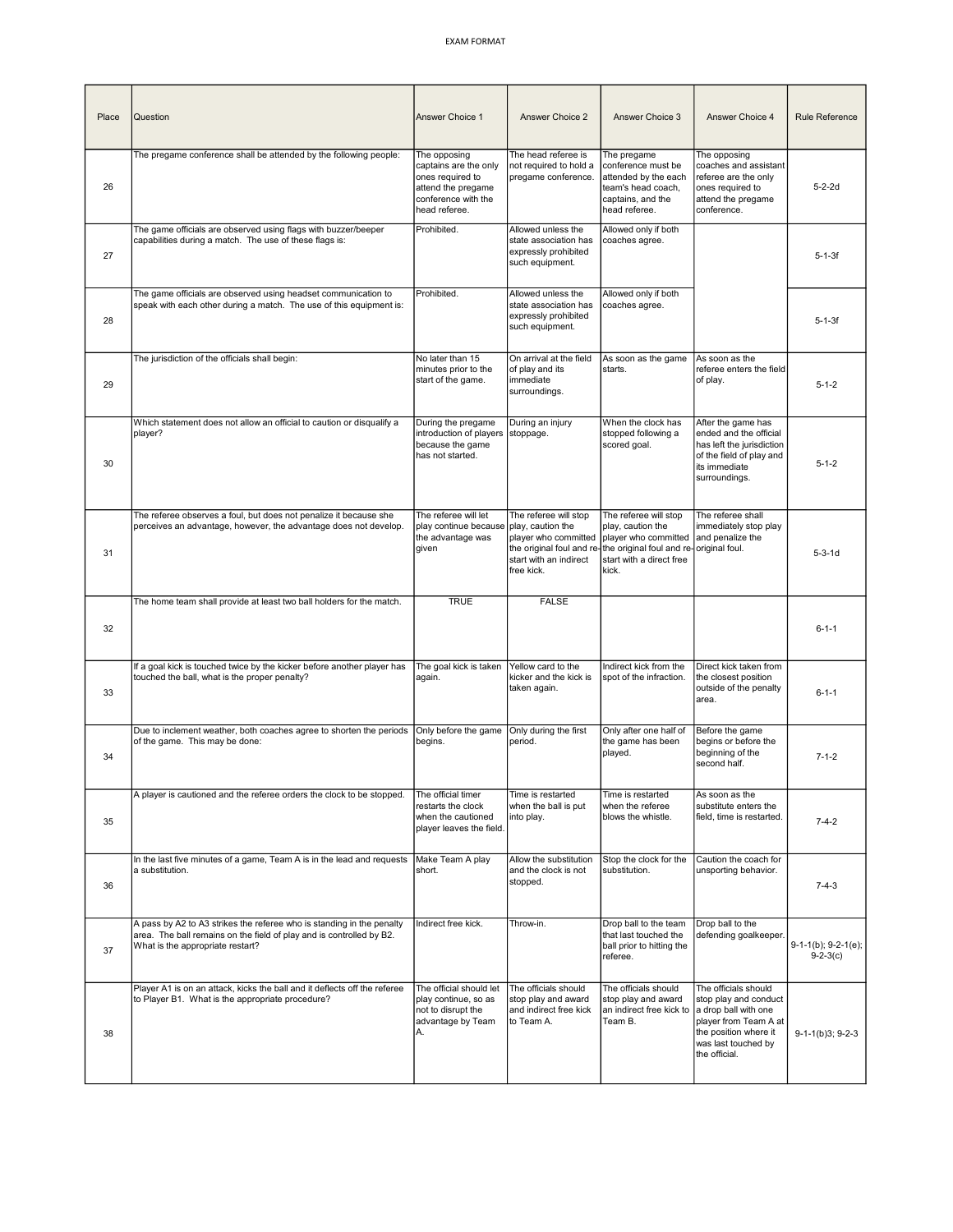| Place | Question                                                                                                                                                                          | <b>Answer Choice 1</b>                                                                                                  | Answer Choice 2                                                                                                                        | Answer Choice 3                                                                                                                                    | Answer Choice 4                                                                                                                                                 | Rule Reference                          |
|-------|-----------------------------------------------------------------------------------------------------------------------------------------------------------------------------------|-------------------------------------------------------------------------------------------------------------------------|----------------------------------------------------------------------------------------------------------------------------------------|----------------------------------------------------------------------------------------------------------------------------------------------------|-----------------------------------------------------------------------------------------------------------------------------------------------------------------|-----------------------------------------|
| 26    | The pregame conference shall be attended by the following people:                                                                                                                 | The opposing<br>captains are the only<br>ones required to<br>attend the pregame<br>conference with the<br>head referee. | The head referee is<br>not required to hold a<br>pregame conference.                                                                   | The pregame<br>conference must be<br>attended by the each<br>team's head coach,<br>captains, and the<br>head referee.                              | The opposing<br>coaches and assistant<br>referee are the only<br>ones required to<br>attend the pregame<br>conference.                                          | $5 - 2 - 2d$                            |
| 27    | The game officials are observed using flags with buzzer/beeper<br>capabilities during a match. The use of these flags is:                                                         | Prohibited.                                                                                                             | Allowed unless the<br>state association has<br>expressly prohibited<br>such equipment.                                                 | Allowed only if both<br>coaches agree.                                                                                                             |                                                                                                                                                                 | $5 - 1 - 3f$                            |
| 28    | The game officials are observed using headset communication to<br>speak with each other during a match. The use of this equipment is:                                             | Prohibited.                                                                                                             | Allowed unless the<br>state association has<br>expressly prohibited<br>such equipment.                                                 | Allowed only if both<br>coaches agree.                                                                                                             |                                                                                                                                                                 | $5 - 1 - 3f$                            |
| 29    | The jurisdiction of the officials shall begin:                                                                                                                                    | No later than 15<br>minutes prior to the<br>start of the game.                                                          | On arrival at the field<br>of play and its<br>immediate<br>surroundings.                                                               | As soon as the game<br>starts.                                                                                                                     | As soon as the<br>referee enters the field<br>of play.                                                                                                          | $5 - 1 - 2$                             |
| 30    | Which statement does not allow an official to caution or disqualify a<br>player?                                                                                                  | During the pregame<br>introduction of players<br>because the game<br>has not started.                                   | During an injury<br>stoppage.                                                                                                          | When the clock has<br>stopped following a<br>scored goal.                                                                                          | After the game has<br>ended and the official<br>has left the jurisdiction<br>of the field of play and<br>its immediate<br>surroundings.                         | $5 - 1 - 2$                             |
| 31    | The referee observes a foul, but does not penalize it because she<br>perceives an advantage, however, the advantage does not develop.                                             | The referee will let<br>play continue because<br>the advantage was<br>given                                             | The referee will stop<br>play, caution the<br>player who committed<br>the original foul and re<br>start with an indirect<br>free kick. | The referee will stop<br>play, caution the<br>player who committed<br>the original foul and re-original foul.<br>start with a direct free<br>kick. | The referee shall<br>immediately stop play<br>and penalize the                                                                                                  | $5 - 3 - 1d$                            |
| 32    | The home team shall provide at least two ball holders for the match.                                                                                                              | <b>TRUE</b>                                                                                                             | <b>FALSE</b>                                                                                                                           |                                                                                                                                                    |                                                                                                                                                                 | $6 - 1 - 1$                             |
| 33    | If a goal kick is touched twice by the kicker before another player has<br>touched the ball, what is the proper penalty?                                                          | The goal kick is taken<br>again.                                                                                        | Yellow card to the<br>kicker and the kick is<br>taken again.                                                                           | Indirect kick from the<br>spot of the infraction.                                                                                                  | Direct kick taken from<br>the closest position<br>outside of the penalty<br>area.                                                                               | $6 - 1 - 1$                             |
| 34    | Due to inclement weather, both coaches agree to shorten the periods<br>of the game. This may be done:                                                                             | Only before the game<br>begins.                                                                                         | Only during the first<br>period.                                                                                                       | Only after one half of<br>the game has been<br>played.                                                                                             | Before the game<br>begins or before the<br>beginning of the<br>second half.                                                                                     | $7 - 1 - 2$                             |
| 35    | A player is cautioned and the referee orders the clock to be stopped.                                                                                                             | The official timer<br>restarts the clock<br>when the cautioned<br>player leaves the field.                              | Time is restarted<br>when the ball is put<br>into play.                                                                                | Time is restarted<br>when the referee<br>blows the whistle.                                                                                        | As soon as the<br>substitute enters the<br>field, time is restarted.                                                                                            | $7 - 4 - 2$                             |
| 36    | In the last five minutes of a game, Team A is in the lead and requests<br>a substitution.                                                                                         | Make Team A play<br>short.                                                                                              | Allow the substitution<br>and the clock is not<br>stopped.                                                                             | Stop the clock for the<br>substitution.                                                                                                            | Caution the coach for<br>unsporting behavior.                                                                                                                   | $7 - 4 - 3$                             |
| 37    | A pass by A2 to A3 strikes the referee who is standing in the penalty<br>area. The ball remains on the field of play and is controlled by B2.<br>What is the appropriate restart? | Indirect free kick.                                                                                                     | Throw-in.                                                                                                                              | Drop ball to the team<br>that last touched the<br>ball prior to hitting the<br>referee.                                                            | Drop ball to the<br>defending goalkeeper.                                                                                                                       | $9-1-1(b)$ ; $9-2-1(e)$ ;<br>$9-2-3(c)$ |
| 38    | Player A1 is on an attack, kicks the ball and it deflects off the referee<br>to Player B1. What is the appropriate procedure?                                                     | The official should let<br>play continue, so as<br>not to disrupt the<br>advantage by Team<br>А.                        | The officials should<br>stop play and award<br>and indirect free kick<br>to Team A.                                                    | The officials should<br>stop play and award<br>an indirect free kick to<br>Team B.                                                                 | The officials should<br>stop play and conduct<br>a drop ball with one<br>player from Team A at<br>the position where it<br>was last touched by<br>the official. | $9-1-1(b)3; 9-2-3$                      |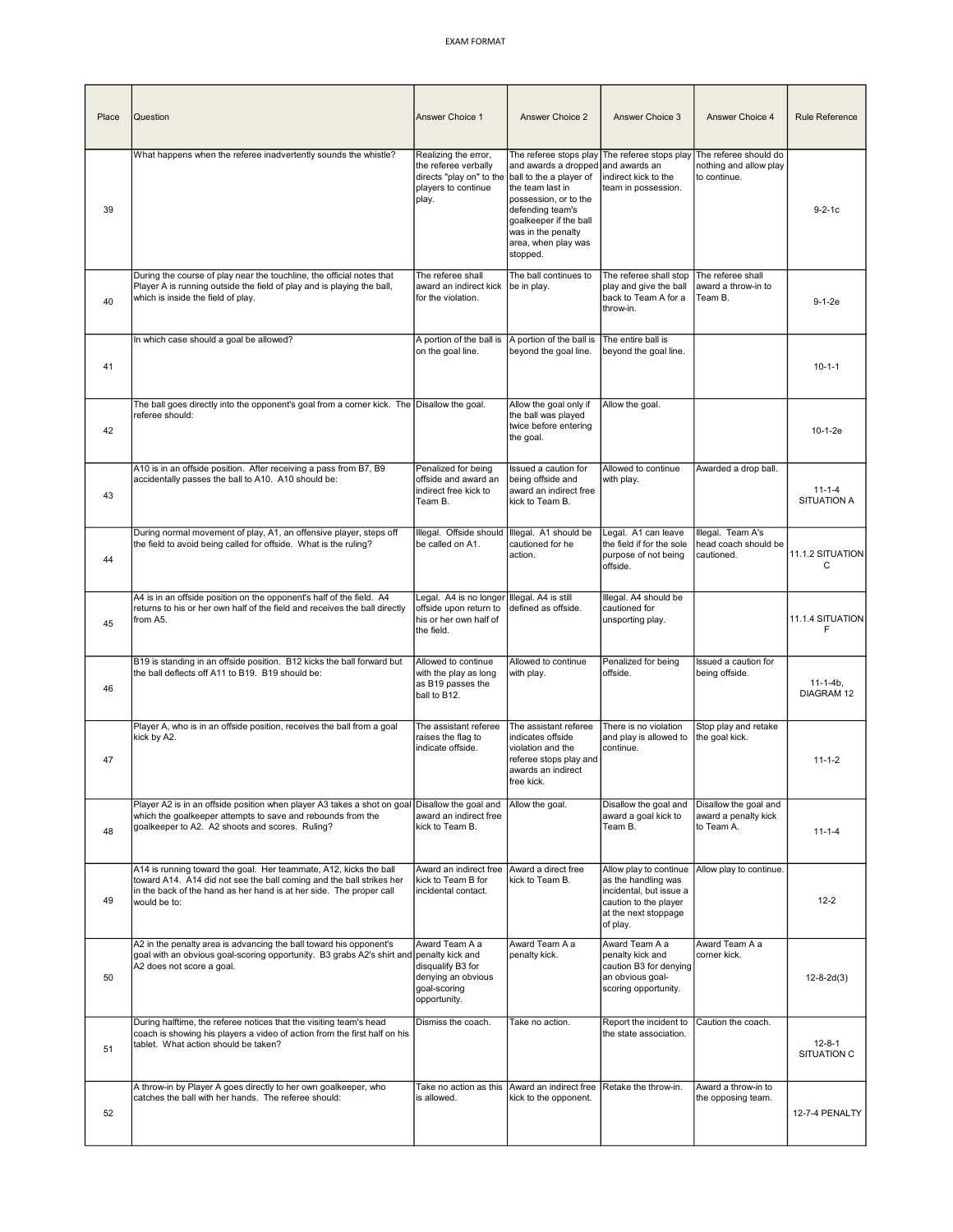| Place | Question                                                                                                                                                                                                                         | Answer Choice 1                                                                                          | Answer Choice 2                                                                                                                                                                                                   | Answer Choice 3                                                                                                                       | Answer Choice 4                                                 | Rule Reference                     |
|-------|----------------------------------------------------------------------------------------------------------------------------------------------------------------------------------------------------------------------------------|----------------------------------------------------------------------------------------------------------|-------------------------------------------------------------------------------------------------------------------------------------------------------------------------------------------------------------------|---------------------------------------------------------------------------------------------------------------------------------------|-----------------------------------------------------------------|------------------------------------|
| 39    | What happens when the referee inadvertently sounds the whistle?                                                                                                                                                                  | Realizing the error,<br>the referee verbally<br>directs "play on" to the<br>players to continue<br>play. | and awards a dropped and awards an<br>ball to the a player of<br>the team last in<br>possession, or to the<br>defending team's<br>goalkeeper if the ball<br>was in the penalty<br>area, when play was<br>stopped. | The referee stops play The referee stops play<br>indirect kick to the<br>team in possession.                                          | The referee should do<br>nothing and allow play<br>to continue. | $9 - 2 - 1c$                       |
| 40    | During the course of play near the touchline, the official notes that<br>Player A is running outside the field of play and is playing the ball,<br>which is inside the field of play.                                            | The referee shall<br>award an indirect kick<br>for the violation.                                        | The ball continues to<br>be in play.                                                                                                                                                                              | The referee shall stop<br>play and give the ball<br>back to Team A for a<br>throw-in.                                                 | The referee shall<br>award a throw-in to<br>Team B.             | $9-1-2e$                           |
| 41    | In which case should a goal be allowed?                                                                                                                                                                                          | A portion of the ball is<br>on the goal line.                                                            | A portion of the ball is<br>beyond the goal line.                                                                                                                                                                 | The entire ball is<br>beyond the goal line.                                                                                           |                                                                 | $10 - 1 - 1$                       |
| 42    | The ball goes directly into the opponent's goal from a corner kick. The Disallow the goal.<br>referee should:                                                                                                                    |                                                                                                          | Allow the goal only if<br>the ball was played<br>twice before entering<br>the goal.                                                                                                                               | Allow the goal.                                                                                                                       |                                                                 | 10-1-2e                            |
| 43    | A10 is in an offside position. After receiving a pass from B7, B9<br>accidentally passes the ball to A10. A10 should be:                                                                                                         | Penalized for being<br>offside and award an<br>indirect free kick to<br>Team B.                          | Issued a caution for<br>being offside and<br>award an indirect free<br>kick to Team B.                                                                                                                            | Allowed to continue<br>with play.                                                                                                     | Awarded a drop ball.                                            | $11 - 1 - 4$<br><b>SITUATION A</b> |
| 44    | During normal movement of play, A1, an offensive player, steps off<br>the field to avoid being called for offside. What is the ruling?                                                                                           | Illegal. Offside should<br>be called on A1.                                                              | Illegal. A1 should be<br>cautioned for he<br>action.                                                                                                                                                              | Legal. A1 can leave<br>the field if for the sole<br>purpose of not being<br>offside.                                                  | Illegal. Team A's<br>head coach should be<br>cautioned.         | 11.1.2 SITUATION<br>C              |
| 45    | A4 is in an offside position on the opponent's half of the field. A4<br>returns to his or her own half of the field and receives the ball directly<br>from A5.                                                                   | Legal. A4 is no longer<br>offside upon return to<br>his or her own half of<br>the field.                 | Illegal. A4 is still<br>defined as offside.                                                                                                                                                                       | Illegal. A4 should be<br>cautioned for<br>unsporting play.                                                                            |                                                                 | 11.1.4 SITUATION<br>F              |
| 46    | B19 is standing in an offside position. B12 kicks the ball forward but<br>the ball deflects off A11 to B19. B19 should be:                                                                                                       | Allowed to continue<br>with the play as long<br>as B19 passes the<br>ball to B12.                        | Allowed to continue<br>with play.                                                                                                                                                                                 | Penalized for being<br>offside.                                                                                                       | Issued a caution for<br>being offside.                          | $11-1-4b$ ,<br><b>DIAGRAM 12</b>   |
| 47    | Player A, who is in an offside position, receives the ball from a goal<br>kick by A2.                                                                                                                                            | The assistant referee<br>raises the flag to<br>indicate offside.                                         | The assistant referee<br>indicates offside<br>violation and the<br>referee stops play and<br>awards an indirect<br>free kick.                                                                                     | There is no violation<br>and play is allowed to<br>continue.                                                                          | Stop play and retake<br>the goal kick.                          | $11 - 1 - 2$                       |
| 48    | Player A2 is in an offside position when player A3 takes a shot on goal Disallow the goal and<br>which the goalkeeper attempts to save and rebounds from the<br>goalkeeper to A2. A2 shoots and scores. Ruling?                  | award an indirect free<br>kick to Team B.                                                                | Allow the goal.                                                                                                                                                                                                   | Disallow the goal and<br>award a goal kick to<br>Team B.                                                                              | Disallow the goal and<br>award a penalty kick<br>to Team A.     | $11 - 1 - 4$                       |
| 49    | A14 is running toward the goal. Her teammate, A12, kicks the ball<br>toward A14. A14 did not see the ball coming and the ball strikes her<br>in the back of the hand as her hand is at her side. The proper call<br>would be to: | Award an indirect free<br>kick to Team B for<br>incidental contact.                                      | Award a direct free<br>kick to Team B.                                                                                                                                                                            | Allow play to continue<br>as the handling was<br>incidental, but issue a<br>caution to the player<br>at the next stoppage<br>of play. | Allow play to continue.                                         | $12 - 2$                           |
| 50    | A2 in the penalty area is advancing the ball toward his opponent's<br>goal with an obvious goal-scoring opportunity. B3 grabs A2's shirt and penalty kick and<br>A2 does not score a goal.                                       | Award Team A a<br>disqualify B3 for<br>denying an obvious<br>goal-scoring<br>opportunity.                | Award Team A a<br>penalty kick.                                                                                                                                                                                   | Award Team A a<br>penalty kick and<br>caution B3 for denying<br>an obvious goal-<br>scoring opportunity.                              | Award Team A a<br>corner kick.                                  | $12 - 8 - 2d(3)$                   |
| 51    | During halftime, the referee notices that the visiting team's head<br>coach is showing his players a video of action from the first half on his<br>tablet. What action should be taken?                                          | Dismiss the coach.                                                                                       | Take no action.                                                                                                                                                                                                   | Report the incident to<br>the state association.                                                                                      | Caution the coach.                                              | $12 - 8 - 1$<br>SITUATION C        |
| 52    | A throw-in by Player A goes directly to her own goalkeeper, who<br>catches the ball with her hands. The referee should:                                                                                                          | Take no action as this<br>is allowed.                                                                    | Award an indirect free<br>kick to the opponent.                                                                                                                                                                   | Retake the throw-in.                                                                                                                  | Award a throw-in to<br>the opposing team.                       | 12-7-4 PENALTY                     |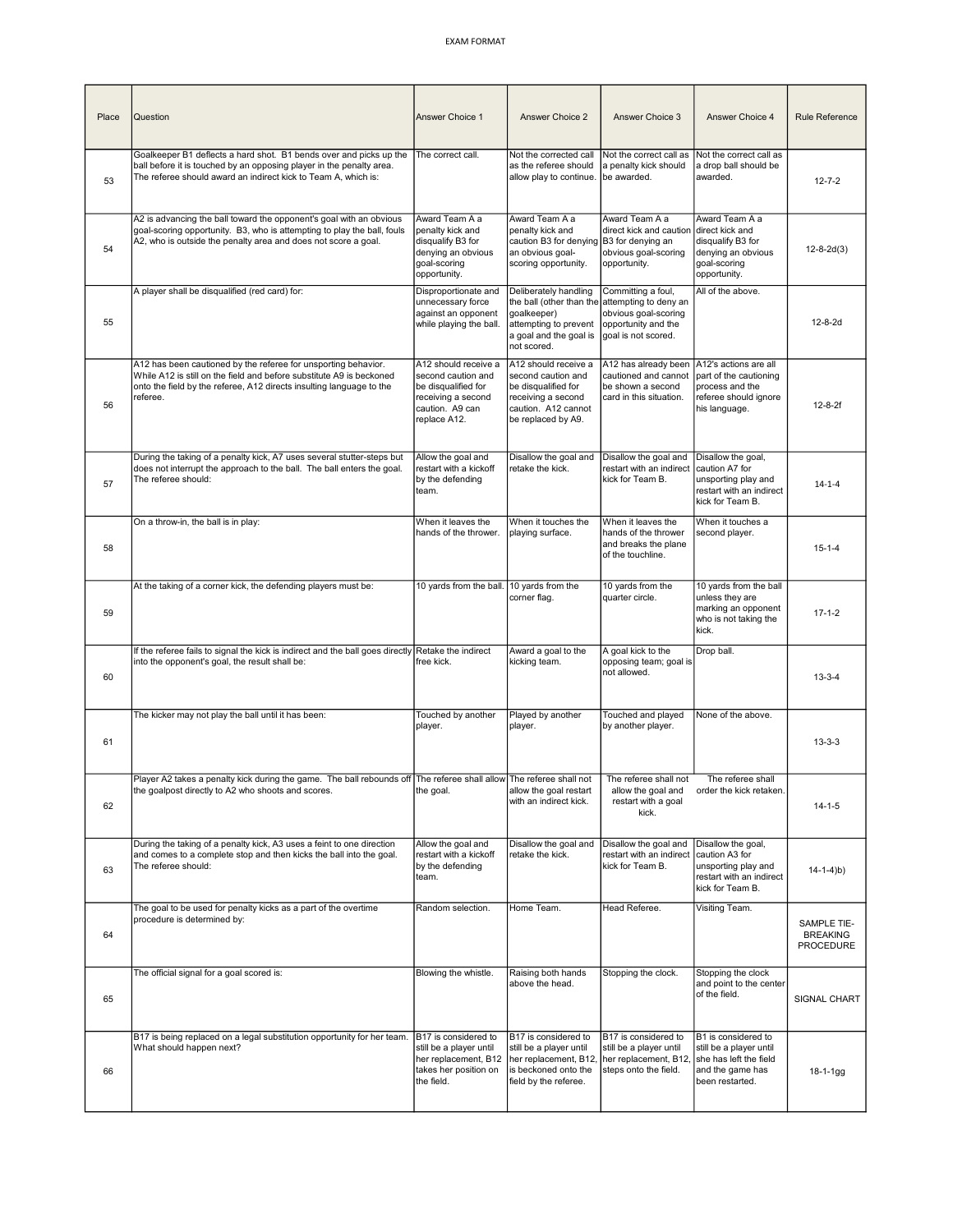| Place | Question                                                                                                                                                                                                                   | Answer Choice 1                                                                                                            | Answer Choice 2                                                                                                                      | Answer Choice 3                                                                                                   | Answer Choice 4                                                                                                 | Rule Reference                              |
|-------|----------------------------------------------------------------------------------------------------------------------------------------------------------------------------------------------------------------------------|----------------------------------------------------------------------------------------------------------------------------|--------------------------------------------------------------------------------------------------------------------------------------|-------------------------------------------------------------------------------------------------------------------|-----------------------------------------------------------------------------------------------------------------|---------------------------------------------|
| 53    | Goalkeeper B1 deflects a hard shot. B1 bends over and picks up the<br>ball before it is touched by an opposing player in the penalty area.<br>The referee should award an indirect kick to Team A, which is:               | The correct call.                                                                                                          | Not the corrected call<br>as the referee should<br>allow play to continue.                                                           | Not the correct call as<br>a penalty kick should<br>be awarded.                                                   | Not the correct call as<br>a drop ball should be<br>awarded.                                                    | $12 - 7 - 2$                                |
| 54    | A2 is advancing the ball toward the opponent's goal with an obvious<br>goal-scoring opportunity. B3, who is attempting to play the ball, fouls<br>A2, who is outside the penalty area and does not score a goal.           | Award Team A a<br>penalty kick and<br>disqualify B3 for<br>denying an obvious<br>goal-scoring<br>opportunity.              | Award Team A a<br>penalty kick and<br>caution B3 for denying<br>an obvious goal-<br>scoring opportunity.                             | Award Team A a<br>direct kick and caution<br>B3 for denying an<br>obvious goal-scoring<br>opportunity.            | Award Team A a<br>direct kick and<br>disqualify B3 for<br>denying an obvious<br>goal-scoring<br>opportunity.    | $12 - 8 - 2d(3)$                            |
| 55    | A player shall be disqualified (red card) for:                                                                                                                                                                             | Disproportionate and<br>unnecessary force<br>against an opponent<br>while playing the ball.                                | Deliberately handling<br>the ball (other than the<br>goalkeeper)<br>attempting to prevent<br>a goal and the goal is<br>not scored.   | Committing a foul,<br>attempting to deny an<br>obvious goal-scoring<br>opportunity and the<br>goal is not scored. | All of the above.                                                                                               | $12 - 8 - 2d$                               |
| 56    | A12 has been cautioned by the referee for unsporting behavior.<br>While A12 is still on the field and before substitute A9 is beckoned<br>onto the field by the referee, A12 directs insulting language to the<br>referee. | A12 should receive a<br>second caution and<br>be disqualified for<br>receiving a second<br>caution. A9 can<br>replace A12. | A12 should receive a<br>second caution and<br>be disqualified for<br>receiving a second<br>caution. A12 cannot<br>be replaced by A9. | A12 has already been<br>cautioned and cannot<br>be shown a second<br>card in this situation.                      | A12's actions are all<br>part of the cautioning<br>process and the<br>referee should ignore<br>his language.    | $12 - 8 - 2f$                               |
| 57    | During the taking of a penalty kick, A7 uses several stutter-steps but<br>does not interrupt the approach to the ball. The ball enters the goal.<br>The referee should:                                                    | Allow the goal and<br>restart with a kickoff<br>by the defending<br>team.                                                  | Disallow the goal and<br>retake the kick.                                                                                            | Disallow the goal and<br>restart with an indirect<br>kick for Team B.                                             | Disallow the goal,<br>caution A7 for<br>unsporting play and<br>restart with an indirect<br>Ikick for Team B.    | $14 - 1 - 4$                                |
| 58    | On a throw-in, the ball is in play:                                                                                                                                                                                        | When it leaves the<br>hands of the thrower.                                                                                | When it touches the<br>playing surface.                                                                                              | When it leaves the<br>hands of the thrower<br>and breaks the plane<br>of the touchline.                           | When it touches a<br>second player.                                                                             | $15 - 1 - 4$                                |
| 59    | At the taking of a corner kick, the defending players must be:                                                                                                                                                             | 10 yards from the ball.                                                                                                    | 10 yards from the<br>corner flag.                                                                                                    | 10 yards from the<br>quarter circle.                                                                              | 10 yards from the ball<br>unless they are<br>marking an opponent<br>who is not taking the<br>kick.              | $17 - 1 - 2$                                |
| 60    | If the referee fails to signal the kick is indirect and the ball goes directly Retake the indirect<br>into the opponent's goal, the result shall be:                                                                       | free kick.                                                                                                                 | Award a goal to the<br>kicking team.                                                                                                 | A goal kick to the<br>opposing team; goal is<br>not allowed.                                                      | Drop ball.                                                                                                      | $13 - 3 - 4$                                |
| 61    | The kicker may not play the ball until it has been:                                                                                                                                                                        | Touched by another<br>player.                                                                                              | Played by another<br>player.                                                                                                         | Touched and played<br>by another player.                                                                          | None of the above.                                                                                              | $13 - 3 - 3$                                |
| 62    | Player A2 takes a penalty kick during the game. The ball rebounds off The referee shall allow The referee shall not The referee shall not<br>the goalpost directly to A2 who shoots and scores.                            | the goal.                                                                                                                  | allow the goal restart<br>with an indirect kick.                                                                                     | allow the goal and<br>restart with a goal<br>kick.                                                                | The referee shall<br>order the kick retaken.                                                                    | $14 - 1 - 5$                                |
| 63    | During the taking of a penalty kick, A3 uses a feint to one direction<br>and comes to a complete stop and then kicks the ball into the goal.<br>The referee should:                                                        | Allow the goal and<br>restart with a kickoff<br>by the defending<br>team.                                                  | Disallow the goal and<br>retake the kick.                                                                                            | Disallow the goal and<br>restart with an indirect<br>kick for Team B.                                             | Disallow the goal,<br>caution A3 for<br>unsporting play and<br>restart with an indirect<br>kick for Team B.     | $14-1-4$ )b)                                |
| 64    | The goal to be used for penalty kicks as a part of the overtime<br>procedure is determined by:                                                                                                                             | Random selection.                                                                                                          | Home Team.                                                                                                                           | Head Referee.                                                                                                     | Visiting Team.                                                                                                  | SAMPLE TIE-<br><b>BREAKING</b><br>PROCEDURE |
| 65    | The official signal for a goal scored is:                                                                                                                                                                                  | Blowing the whistle.                                                                                                       | Raising both hands<br>above the head.                                                                                                | Stopping the clock.                                                                                               | Stopping the clock<br>and point to the center<br>of the field.                                                  | SIGNAL CHART                                |
| 66    | B17 is being replaced on a legal substitution opportunity for her team.<br>What should happen next?                                                                                                                        | B17 is considered to<br>still be a player until<br>her replacement, B12<br>takes her position on<br>the field.             | B17 is considered to<br>still be a player until<br>her replacement, B12,<br>is beckoned onto the<br>field by the referee.            | B17 is considered to<br>still be a player until<br>her replacement, B12,<br>steps onto the field.                 | B1 is considered to<br>still be a player until<br>she has left the field<br>and the game has<br>been restarted. | 18-1-1gg                                    |